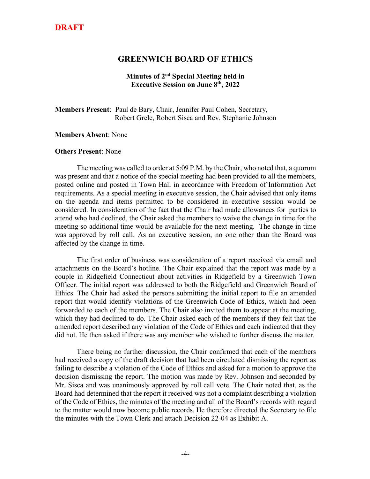### **DRAFT**

### **GREENWICH BOARD OF ETHICS**

#### **Minutes of 2nd Special Meeting held in Executive Session on June 8th, 2022**

**Members Present**: Paul de Bary, Chair, Jennifer Paul Cohen, Secretary, Robert Grele, Robert Sisca and Rev. Stephanie Johnson

#### **Members Absent**: None

#### **Others Present**: None

The meeting was called to order at 5:09 P.M. by the Chair, who noted that, a quorum was present and that a notice of the special meeting had been provided to all the members, posted online and posted in Town Hall in accordance with Freedom of Information Act requirements. As a special meeting in executive session, the Chair advised that only items on the agenda and items permitted to be considered in executive session would be considered. In consideration of the fact that the Chair had made allowances for parties to attend who had declined, the Chair asked the members to waive the change in time for the meeting so additional time would be available for the next meeting. The change in time was approved by roll call. As an executive session, no one other than the Board was affected by the change in time.

The first order of business was consideration of a report received via email and attachments on the Board's hotline. The Chair explained that the report was made by a couple in Ridgefield Connecticut about activities in Ridgefield by a Greenwich Town Officer. The initial report was addressed to both the Ridgefield and Greenwich Board of Ethics. The Chair had asked the persons submitting the initial report to file an amended report that would identify violations of the Greenwich Code of Ethics, which had been forwarded to each of the members. The Chair also invited them to appear at the meeting, which they had declined to do. The Chair asked each of the members if they felt that the amended report described any violation of the Code of Ethics and each indicated that they did not. He then asked if there was any member who wished to further discuss the matter.

There being no further discussion, the Chair confirmed that each of the members had received a copy of the draft decision that had been circulated dismissing the report as failing to describe a violation of the Code of Ethics and asked for a motion to approve the decision dismissing the report. The motion was made by Rev. Johnson and seconded by Mr. Sisca and was unanimously approved by roll call vote. The Chair noted that, as the Board had determined that the report it received was not a complaint describing a violation of the Code of Ethics, the minutes of the meeting and all of the Board's records with regard to the matter would now become public records. He therefore directed the Secretary to file the minutes with the Town Clerk and attach Decision 22-04 as Exhibit A.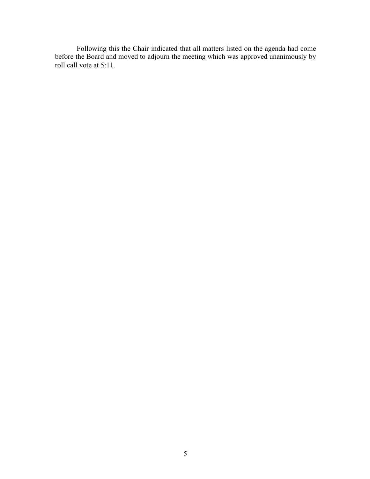Following this the Chair indicated that all matters listed on the agenda had come before the Board and moved to adjourn the meeting which was approved unanimously by roll call vote at 5:11.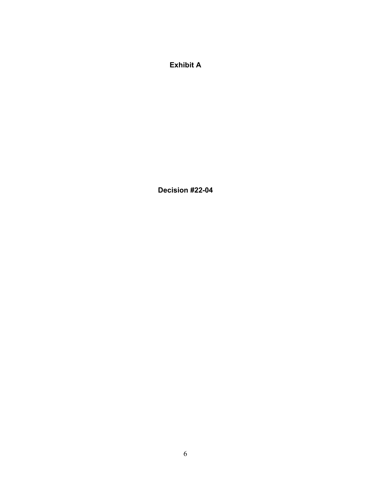**Exhibit A**

**Decision #22-04**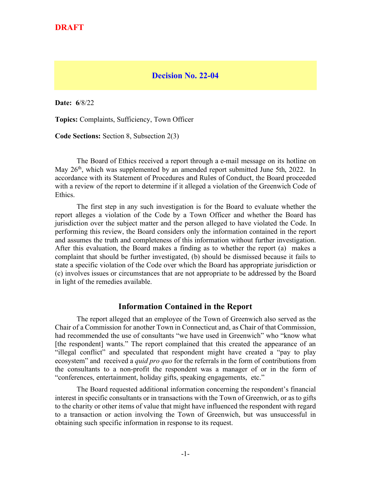### **DRAFT**

### **Decision No. 22-04**

**Date: 6**/8/22

**Topics:** Complaints, Sufficiency, Town Officer

**Code Sections:** Section 8, Subsection 2(3)

The Board of Ethics received a report through a e-mail message on its hotline on May 26<sup>th</sup>, which was supplemented by an amended report submitted June 5th, 2022. In accordance with its Statement of Procedures and Rules of Conduct, the Board proceeded with a review of the report to determine if it alleged a violation of the Greenwich Code of Ethics.

The first step in any such investigation is for the Board to evaluate whether the report alleges a violation of the Code by a Town Officer and whether the Board has jurisdiction over the subject matter and the person alleged to have violated the Code. In performing this review, the Board considers only the information contained in the report and assumes the truth and completeness of this information without further investigation. After this evaluation, the Board makes a finding as to whether the report (a) makes a complaint that should be further investigated, (b) should be dismissed because it fails to state a specific violation of the Code over which the Board has appropriate jurisdiction or (c) involves issues or circumstances that are not appropriate to be addressed by the Board in light of the remedies available.

### **Information Contained in the Report**

The report alleged that an employee of the Town of Greenwich also served as the Chair of a Commission for another Town in Connecticut and, as Chair of that Commission, had recommended the use of consultants "we have used in Greenwich" who "know what [the respondent] wants." The report complained that this created the appearance of an "illegal conflict" and speculated that respondent might have created a "pay to play ecosystem" and received a *quid pro quo* for the referrals in the form of contributions from the consultants to a non-profit the respondent was a manager of or in the form of "conferences, entertainment, holiday gifts, speaking engagements, etc."

The Board requested additional information concerning the respondent's financial interest in specific consultants or in transactions with the Town of Greenwich, or as to gifts to the charity or other items of value that might have influenced the respondent with regard to a transaction or action involving the Town of Greenwich, but was unsuccessful in obtaining such specific information in response to its request.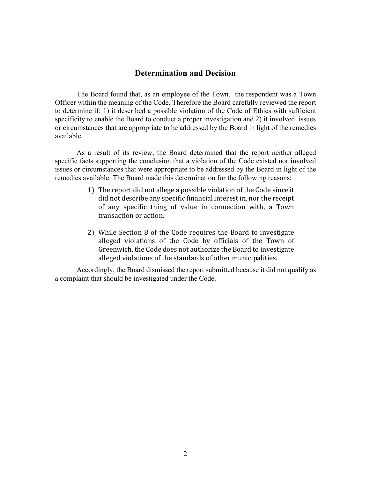### **Determination and Decision**

The Board found that, as an employee of the Town, the respondent was a Town Officer within the meaning of the Code. Therefore the Board carefully reviewed the report to determine if: 1) it described a possible violation of the Code of Ethics with sufficient specificity to enable the Board to conduct a proper investigation and 2) it involved issues or circumstances that are appropriate to be addressed by the Board in light of the remedies available.

As a result of its review, the Board determined that the report neither alleged specific facts supporting the conclusion that a violation of the Code existed nor involved issues or circumstances that were appropriate to be addressed by the Board in light of the remedies available. The Board made this determination for the following reasons:

- 1) The report did not allege a possible violation of the Code since it did not describe any specific financial interest in, nor the receipt of any specific thing of value in connection with, a Town transaction or action.
- 2) While Section 8 of the Code requires the Board to investigate alleged violations of the Code by officials of the Town of Greenwich, the Code does not authorize the Board to investigate alleged violations of the standards of other municipalities.

Accordingly, the Board dismissed the report submitted because it did not qualify as a complaint that should be investigated under the Code.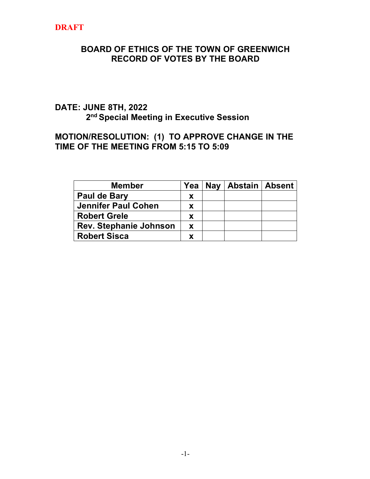# **DRAFT**

## **BOARD OF ETHICS OF THE TOWN OF GREENWICH RECORD OF VOTES BY THE BOARD**

# **DATE: JUNE 8TH, 2022 2nd Special Meeting in Executive Session**

## **MOTION/RESOLUTION: (1) TO APPROVE CHANGE IN THE TIME OF THE MEETING FROM 5:15 TO 5:09**

| <b>Member</b>              | Yea      | Nay   Abstain   Absent |  |
|----------------------------|----------|------------------------|--|
| Paul de Bary               | X        |                        |  |
| <b>Jennifer Paul Cohen</b> | <b>X</b> |                        |  |
| <b>Robert Grele</b>        | X        |                        |  |
| Rev. Stephanie Johnson     | <b>X</b> |                        |  |
| <b>Robert Sisca</b>        |          |                        |  |